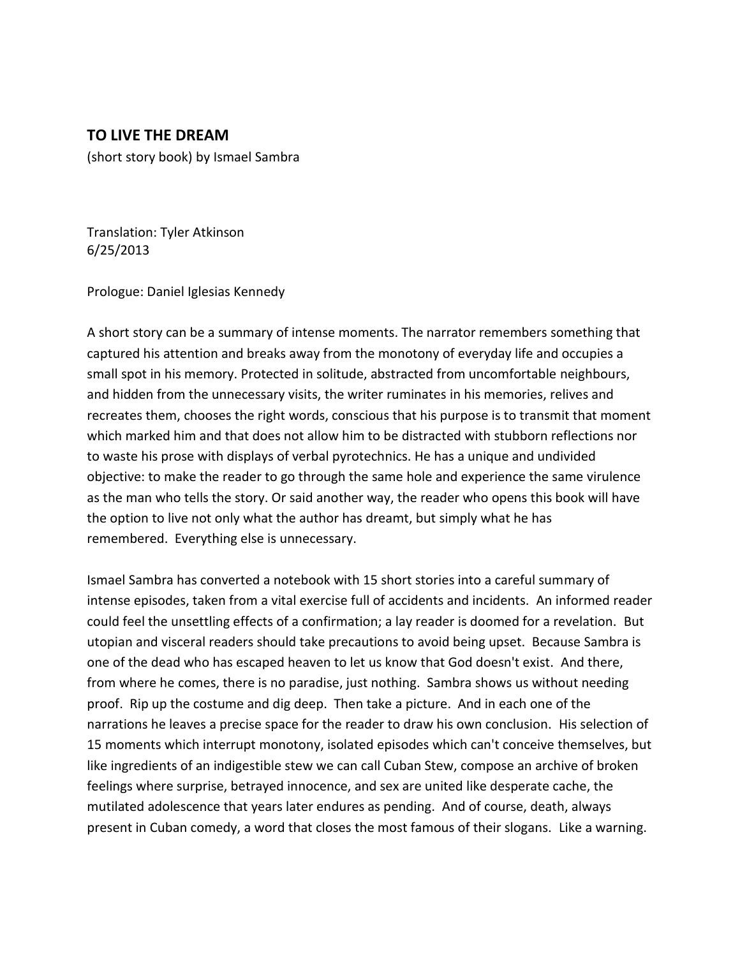## **TO LIVE THE DREAM**

(short story book) by Ismael Sambra

Translation: Tyler Atkinson 6/25/2013

Prologue: Daniel Iglesias Kennedy

A short story can be a summary of intense moments. The narrator remembers something that captured his attention and breaks away from the monotony of everyday life and occupies a small spot in his memory. Protected in solitude, abstracted from uncomfortable neighbours, and hidden from the unnecessary visits, the writer ruminates in his memories, relives and recreates them, chooses the right words, conscious that his purpose is to transmit that moment which marked him and that does not allow him to be distracted with stubborn reflections nor to waste his prose with displays of verbal pyrotechnics. He has a unique and undivided objective: to make the reader to go through the same hole and experience the same virulence as the man who tells the story. Or said another way, the reader who opens this book will have the option to live not only what the author has dreamt, but simply what he has remembered. Everything else is unnecessary.

Ismael Sambra has converted a notebook with 15 short stories into a careful summary of intense episodes, taken from a vital exercise full of accidents and incidents. An informed reader could feel the unsettling effects of a confirmation; a lay reader is doomed for a revelation. But utopian and visceral readers should take precautions to avoid being upset. Because Sambra is one of the dead who has escaped heaven to let us know that God doesn't exist. And there, from where he comes, there is no paradise, just nothing. Sambra shows us without needing proof. Rip up the costume and dig deep. Then take a picture. And in each one of the narrations he leaves a precise space for the reader to draw his own conclusion. His selection of 15 moments which interrupt monotony, isolated episodes which can't conceive themselves, but like ingredients of an indigestible stew we can call Cuban Stew, compose an archive of broken feelings where surprise, betrayed innocence, and sex are united like desperate cache, the mutilated adolescence that years later endures as pending. And of course, death, always present in Cuban comedy, a word that closes the most famous of their slogans. Like a warning.